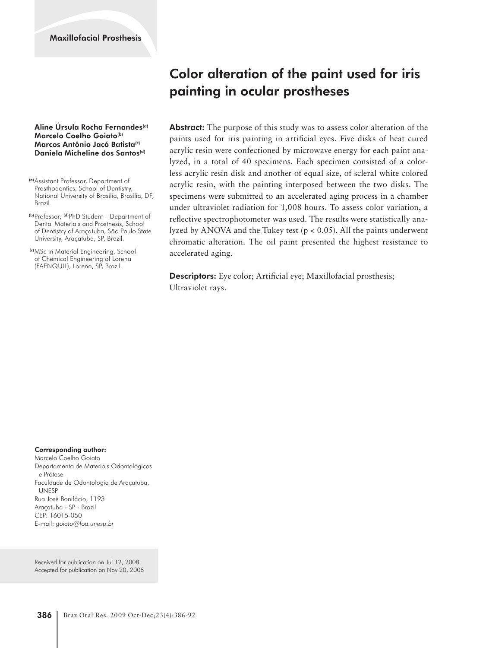Aline Úrsula Rocha Fernandes(a) Marcelo Coelho Goiato<sup>(b)</sup> Marcos Antônio Jacó Batista(c) Daniela Micheline dos Santos<sup>(d)</sup>

- (a)Assistant Professor, Department of Prosthodontics, School of Dentistry, National University of Brasília, Brasília, DF, Brazil.
- (b)Professor; (d)PhD Student Department of Dental Materials and Prosthesis, School of Dentistry of Araçatuba, São Paulo State University, Araçatuba, SP, Brazil.
- (c)MSc in Material Engineering, School of Chemical Engineering of Lorena (FAENQUIL), Lorena, SP, Brazil.

# Color alteration of the paint used for iris painting in ocular prostheses

Abstract: The purpose of this study was to assess color alteration of the paints used for iris painting in artificial eyes. Five disks of heat cured acrylic resin were confectioned by microwave energy for each paint analyzed, in a total of 40 specimens. Each specimen consisted of a colorless acrylic resin disk and another of equal size, of scleral white colored acrylic resin, with the painting interposed between the two disks. The specimens were submitted to an accelerated aging process in a chamber under ultraviolet radiation for 1,008 hours. To assess color variation, a reflective spectrophotometer was used. The results were statistically analyzed by ANOVA and the Tukey test (p < 0.05). All the paints underwent chromatic alteration. The oil paint presented the highest resistance to accelerated aging.

Descriptors: Eye color; Artificial eye; Maxillofacial prosthesis; Ultraviolet rays.

#### Corresponding author:

Marcelo Coelho Goiato Departamento de Materiais Odontológicos e Prótese Faculdade de Odontologia de Araçatuba, UNESP Rua José Bonifácio, 1193 Araçatuba - SP - Brazil CEP: 16015-050 E-mail: *goiato@foa.unesp.br*

Received for publication on Jul 12, 2008 Accepted for publication on Nov 20, 2008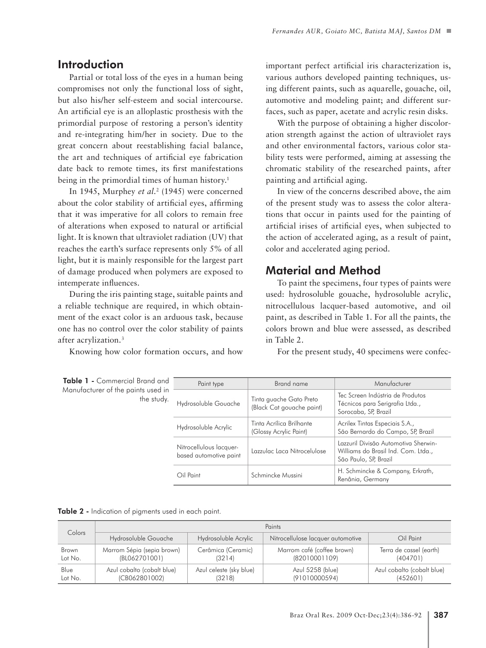# Introduction

Partial or total loss of the eyes in a human being compromises not only the functional loss of sight, but also his/her self-esteem and social intercourse. An artificial eye is an alloplastic prosthesis with the primordial purpose of restoring a person's identity and re-integrating him/her in society. Due to the great concern about reestablishing facial balance, the art and techniques of artificial eye fabrication date back to remote times, its first manifestations being in the primordial times of human history.<sup>1</sup>

In 1945, Murphey *et al*. 2 (1945) were concerned about the color stability of artificial eyes, affirming that it was imperative for all colors to remain free of alterations when exposed to natural or artificial light. It is known that ultraviolet radiation (UV) that reaches the earth's surface represents only 5% of all light, but it is mainly responsible for the largest part of damage produced when polymers are exposed to intemperate influences.

During the iris painting stage, suitable paints and a reliable technique are required, in which obtainment of the exact color is an arduous task, because one has no control over the color stability of paints after acrylization.3

Knowing how color formation occurs, and how

important perfect artificial iris characterization is, various authors developed painting techniques, using different paints, such as aquarelle, gouache, oil, automotive and modeling paint; and different surfaces, such as paper, acetate and acrylic resin disks.

With the purpose of obtaining a higher discoloration strength against the action of ultraviolet rays and other environmental factors, various color stability tests were performed, aiming at assessing the chromatic stability of the researched paints, after painting and artificial aging.

In view of the concerns described above, the aim of the present study was to assess the color alterations that occur in paints used for the painting of artificial irises of artificial eyes, when subjected to the action of accelerated aging, as a result of paint, color and accelerated aging period.

# Material and Method

To paint the specimens, four types of paints were used: hydrosoluble gouache, hydrosoluble acrylic, nitrocellulous lacquer-based automotive, and oil paint, as described in Table 1. For all the paints, the colors brown and blue were assessed, as described in Table 2.

For the present study, 40 specimens were confec-

| Table 1 - Commercial Brand and                   | Paint type                                        | Brand name                                           | Manufacturer                                                                                         |  |
|--------------------------------------------------|---------------------------------------------------|------------------------------------------------------|------------------------------------------------------------------------------------------------------|--|
| Manufacturer of the paints used in<br>the study. | Hydrosoluble Gouache                              | Tinta guache Gato Preto<br>(Black Cat gouache paint) | Tec Screen Indústria de Produtos<br>Técnicos para Serigrafia Ltda.,<br>Sorocaba, SP, Brazil          |  |
|                                                  | Hydrosoluble Acrylic                              | Tinta Acrílica Brilhante<br>(Glossy Acrylic Paint)   | Acrilex Tintas Especiais S.A.,<br>São Bernardo do Campo, SP, Brazil                                  |  |
|                                                  | Nitrocellulous lacquer-<br>based automotive paint | Lazzulac Laca Nitrocelulose                          | Lazzuril Divisão Automotiva Sherwin-<br>Williams do Brasil Ind. Com. Ltda.,<br>São Paulo, SP, Brazil |  |
|                                                  | Oil Paint                                         | Schmincke Mussini                                    | H. Schmincke & Company, Erkrath,<br>Renânia, Germany                                                 |  |

Table 2 - Indication of pigments used in each paint.

| Colors  | Paints                     |                         |                                   |                            |  |
|---------|----------------------------|-------------------------|-----------------------------------|----------------------------|--|
|         | Hydrosoluble Gouache       | Hydrosoluble Acrylic    | Nitrocellulose lacquer automotive | Oil Paint                  |  |
| Brown   | Marrom Sépia (sepia brown) | Cerâmica (Ceramic)      | Marrom café (coffee brown)        | Terra de cassel (earth)    |  |
| Lot No. | (BL062701001)              | (3214)                  | (82010001109)                     | (404701)                   |  |
| Blue    | Azul cobalto (cobalt blue) | Azul celeste (sky blue) | Azul 5258 (blue)                  | Azul cobalto (cobalt blue) |  |
| Lot No. | (CB062801002)              | (3218)                  | (91010000594)                     | (452601)                   |  |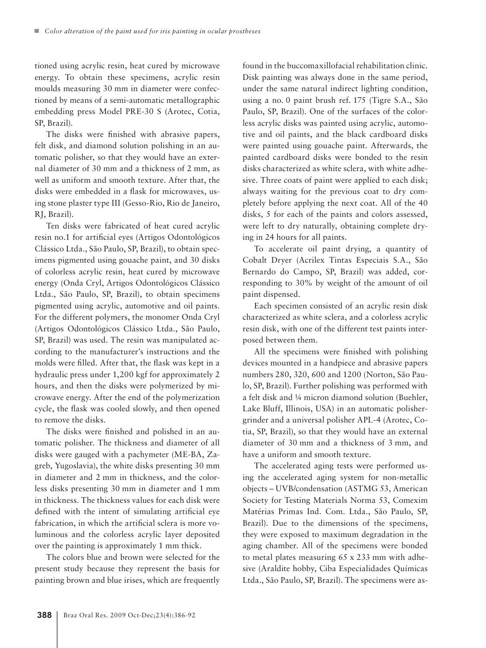tioned using acrylic resin, heat cured by microwave energy. To obtain these specimens, acrylic resin moulds measuring 30 mm in diameter were confectioned by means of a semi-automatic metallographic embedding press Model PRE-30 S (Arotec, Cotia, SP, Brazil).

The disks were finished with abrasive papers, felt disk, and diamond solution polishing in an automatic polisher, so that they would have an external diameter of 30 mm and a thickness of 2 mm, as well as uniform and smooth texture. After that, the disks were embedded in a flask for microwaves, using stone plaster type III (Gesso-Rio, Rio de Janeiro, RJ, Brazil).

Ten disks were fabricated of heat cured acrylic resin no.1 for artificial eyes (Artigos Odontológicos Clássico Ltda., São Paulo, SP, Brazil), to obtain specimens pigmented using gouache paint, and 30 disks of colorless acrylic resin, heat cured by microwave energy (Onda Cryl, Artigos Odontológicos Clássico Ltda., São Paulo, SP, Brazil), to obtain specimens pigmented using acrylic, automotive and oil paints. For the different polymers, the monomer Onda Cryl (Artigos Odontológicos Clássico Ltda., São Paulo, SP, Brazil) was used. The resin was manipulated according to the manufacturer's instructions and the molds were filled. After that, the flask was kept in a hydraulic press under 1,200 kgf for approximately 2 hours, and then the disks were polymerized by microwave energy. After the end of the polymerization cycle, the flask was cooled slowly, and then opened to remove the disks.

The disks were finished and polished in an automatic polisher. The thickness and diameter of all disks were gauged with a pachymeter (ME-BA, Zagreb, Yugoslavia), the white disks presenting 30 mm in diameter and 2 mm in thickness, and the colorless disks presenting 30 mm in diameter and 1 mm in thickness. The thickness values for each disk were defined with the intent of simulating artificial eye fabrication, in which the artificial sclera is more voluminous and the colorless acrylic layer deposited over the painting is approximately 1 mm thick.

The colors blue and brown were selected for the present study because they represent the basis for painting brown and blue irises, which are frequently

found in the buccomaxillofacial rehabilitation clinic. Disk painting was always done in the same period, under the same natural indirect lighting condition, using a no. 0 paint brush ref. 175 (Tigre S.A., São Paulo, SP, Brazil). One of the surfaces of the colorless acrylic disks was painted using acrylic, automotive and oil paints, and the black cardboard disks were painted using gouache paint. Afterwards, the painted cardboard disks were bonded to the resin disks characterized as white sclera, with white adhesive. Three coats of paint were applied to each disk; always waiting for the previous coat to dry completely before applying the next coat. All of the 40 disks, 5 for each of the paints and colors assessed, were left to dry naturally, obtaining complete drying in 24 hours for all paints.

To accelerate oil paint drying, a quantity of Cobalt Dryer (Acrilex Tintas Especiais S.A., São Bernardo do Campo, SP, Brazil) was added, corresponding to 30% by weight of the amount of oil paint dispensed.

Each specimen consisted of an acrylic resin disk characterized as white sclera, and a colorless acrylic resin disk, with one of the different test paints interposed between them.

All the specimens were finished with polishing devices mounted in a handpiece and abrasive papers numbers 280, 320, 600 and 1200 (Norton, São Paulo, SP, Brazil). Further polishing was performed with a felt disk and ¼ micron diamond solution (Buehler, Lake Bluff, Illinois, USA) in an automatic polishergrinder and a universal polisher APL-4 (Arotec, Cotia, SP, Brazil), so that they would have an external diameter of 30 mm and a thickness of 3 mm, and have a uniform and smooth texture.

The accelerated aging tests were performed using the accelerated aging system for non-metallic objects – UVB/condensation (ASTMG 53, American Society for Testing Materials Norma 53, Comexim Matérias Primas Ind. Com. Ltda., São Paulo, SP, Brazil). Due to the dimensions of the specimens, they were exposed to maximum degradation in the aging chamber. All of the specimens were bonded to metal plates measuring 65 x 233 mm with adhesive (Araldite hobby, Ciba Especialidades Químicas Ltda., São Paulo, SP, Brazil). The specimens were as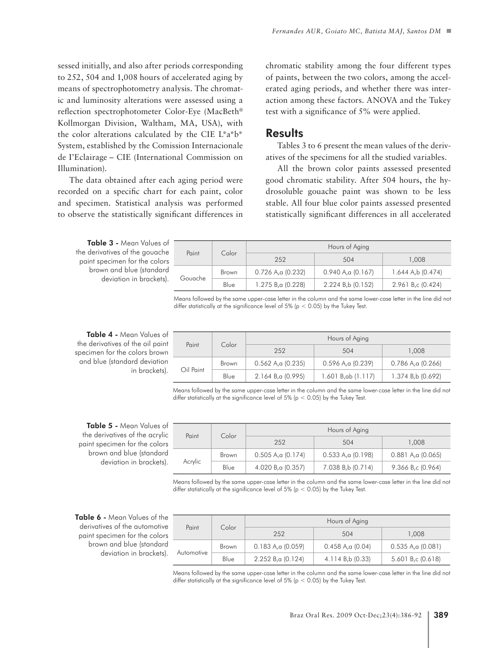sessed initially, and also after periods corresponding to 252, 504 and 1,008 hours of accelerated aging by means of spectrophotometry analysis. The chromatic and luminosity alterations were assessed using a reflection spectrophotometer Color-Eye (MacBeth® Kollmorgan Division, Waltham, MA, USA), with the color alterations calculated by the CIE L\*a\*b\* System, established by the Comission Internacionale de I'Eclairage – CIE (International Commission on Illumination).

The data obtained after each aging period were recorded on a specific chart for each paint, color and specimen. Statistical analysis was performed to observe the statistically significant differences in chromatic stability among the four different types of paints, between the two colors, among the accelerated aging periods, and whether there was interaction among these factors. ANOVA and the Tukey test with a significance of 5% were applied.

#### **Results**

Tables 3 to 6 present the mean values of the derivatives of the specimens for all the studied variables.

All the brown color paints assessed presented good chromatic stability. After 504 hours, the hydrosoluble gouache paint was shown to be less stable. All four blue color paints assessed presented statistically significant differences in all accelerated

Table 3 - Mean Values of the derivatives of the gouache paint specimen for the colors brown and blue (standard deviation in brackets).

|  | Paint<br>Color |       | Hours of Aging         |                        |                       |
|--|----------------|-------|------------------------|------------------------|-----------------------|
|  |                |       | 252                    | 504                    | 1,008                 |
|  | Gouache        | Brown | $0.726$ A, a $(0.232)$ | $0.940$ A, a $(0.167)$ | $1.644$ A,b $(0.474)$ |
|  |                | Blue  | 1.275 B, a (0.228)     | 2.224 B,b (0.152)      | 2.961 B,c (0.424)     |

Means followed by the same upper-case letter in the column and the same lower-case letter in the line did not differ statistically at the significance level of 5% ( $p < 0.05$ ) by the Tukey Test.

Table 4 - Mean Values of the derivatives of the oil paint specimen for the colors brown and blue (standard deviation in brackets).

| Paint     | Color | Hours of Aging         |                        |                        |
|-----------|-------|------------------------|------------------------|------------------------|
|           |       | 252                    | 504                    | 1,008                  |
| Oil Paint | Brown | $0.562$ A, a $(0.235)$ | $0.596$ A, a $(0.239)$ | $0.786$ A, a $(0.266)$ |
|           | Blue  | 2.164 B, a (0.995)     | 1.601 B,ab (1.117)     | 1.374 B,b (0.692)      |

Means followed by the same upper-case letter in the column and the same lower-case letter in the line did not differ statistically at the significance level of 5% ( $p < 0.05$ ) by the Tukey Test.

Table 5 - Mean Values of the derivatives of the acrylic paint specimen for the colors brown and blue (standard deviation in brackets).

| Paint   | Color | Hours of Aging         |                        |                              |
|---------|-------|------------------------|------------------------|------------------------------|
|         |       | 252                    | 504                    | 1,008                        |
| Acrylic | Brown | $0.505$ A, a $(0.174)$ | $0.533$ A, a $(0.198)$ | $0.881$ A, a $(0.065)$       |
|         | Blue  | 4.020 B, a (0.357)     | 7.038 B,b (0.714)      | 9.366 B <sub>c</sub> (0.964) |

Means followed by the same upper-case letter in the column and the same lower-case letter in the line did not differ statistically at the significance level of 5% ( $p < 0.05$ ) by the Tukey Test.

Table 6 - Mean Values of the derivatives of the automotive paint specimen for the colors brown and blue (standard deviation in brackets).

| Paint      | Color | Hours of Aging            |                       |                        |
|------------|-------|---------------------------|-----------------------|------------------------|
|            |       | 252                       | 504                   | 1,008                  |
| Automotive | Brown | $0.183$ A, a $(0.059)$    | $0.458$ A, a $(0.04)$ | $0.535$ A, a $(0.081)$ |
|            | Blue  | $2.252 B, \alpha$ (0.124) | 4.114 B,b (0.33)      | 5.601 B,c (0.618)      |

Means followed by the same upper-case letter in the column and the same lower-case letter in the line did not differ statistically at the significance level of  $5\%$  (p < 0.05) by the Tukey Test.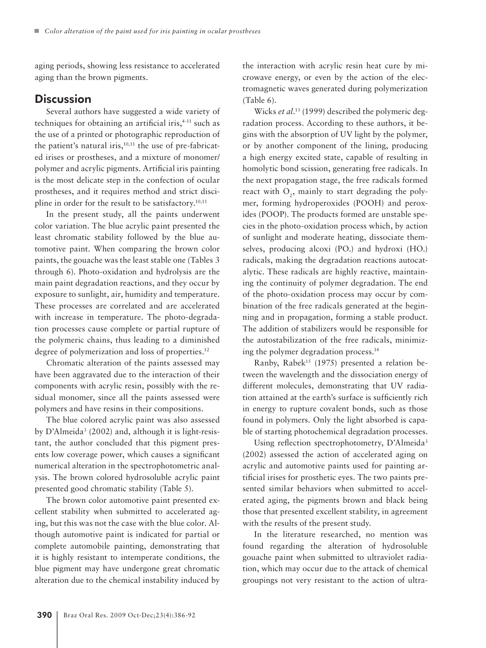aging periods, showing less resistance to accelerated aging than the brown pigments.

## **Discussion**

Several authors have suggested a wide variety of techniques for obtaining an artificial iris, $4-11$  such as the use of a printed or photographic reproduction of the patient's natural iris, $10,11$  the use of pre-fabricated irises or prostheses, and a mixture of monomer/ polymer and acrylic pigments. Artificial iris painting is the most delicate step in the confection of ocular prostheses, and it requires method and strict discipline in order for the result to be satisfactory.<sup>10,11</sup>

In the present study, all the paints underwent color variation. The blue acrylic paint presented the least chromatic stability followed by the blue automotive paint. When comparing the brown color paints, the gouache was the least stable one (Tables 3 through 6). Photo-oxidation and hydrolysis are the main paint degradation reactions, and they occur by exposure to sunlight, air, humidity and temperature. These processes are correlated and are accelerated with increase in temperature. The photo-degradation processes cause complete or partial rupture of the polymeric chains, thus leading to a diminished degree of polymerization and loss of properties.<sup>12</sup>

Chromatic alteration of the paints assessed may have been aggravated due to the interaction of their components with acrylic resin, possibly with the residual monomer, since all the paints assessed were polymers and have resins in their compositions.

The blue colored acrylic paint was also assessed by D'Almeida<sup>3</sup> (2002) and, although it is light-resistant, the author concluded that this pigment presents low coverage power, which causes a significant numerical alteration in the spectrophotometric analysis. The brown colored hydrosoluble acrylic paint presented good chromatic stability (Table 5).

The brown color automotive paint presented excellent stability when submitted to accelerated aging, but this was not the case with the blue color. Although automotive paint is indicated for partial or complete automobile painting, demonstrating that it is highly resistant to intemperate conditions, the blue pigment may have undergone great chromatic alteration due to the chemical instability induced by the interaction with acrylic resin heat cure by microwave energy, or even by the action of the electromagnetic waves generated during polymerization (Table 6).

Wicks *et al*. 13 (1999) described the polymeric degradation process. According to these authors, it begins with the absorption of UV light by the polymer, or by another component of the lining, producing a high energy excited state, capable of resulting in homolytic bond scission, generating free radicals. In the next propagation stage, the free radicals formed react with  $O<sub>2</sub>$ , mainly to start degrading the polymer, forming hydroperoxides (POOH) and peroxides (POOP). The products formed are unstable species in the photo-oxidation process which, by action of sunlight and moderate heating, dissociate themselves, producing alcoxi (PO.) and hydroxi (HO.) radicals, making the degradation reactions autocatalytic. These radicals are highly reactive, maintaining the continuity of polymer degradation. The end of the photo-oxidation process may occur by combination of the free radicals generated at the beginning and in propagation, forming a stable product. The addition of stabilizers would be responsible for the autostabilization of the free radicals, minimizing the polymer degradation process.14

Ranby, Rabek<sup>15</sup> (1975) presented a relation between the wavelength and the dissociation energy of different molecules, demonstrating that UV radiation attained at the earth's surface is sufficiently rich in energy to rupture covalent bonds, such as those found in polymers. Only the light absorbed is capable of starting photochemical degradation processes.

Using reflection spectrophotometry, D'Almeida3 (2002) assessed the action of accelerated aging on acrylic and automotive paints used for painting artificial irises for prosthetic eyes. The two paints presented similar behaviors when submitted to accelerated aging, the pigments brown and black being those that presented excellent stability, in agreement with the results of the present study.

In the literature researched, no mention was found regarding the alteration of hydrosoluble gouache paint when submitted to ultraviolet radiation, which may occur due to the attack of chemical groupings not very resistant to the action of ultra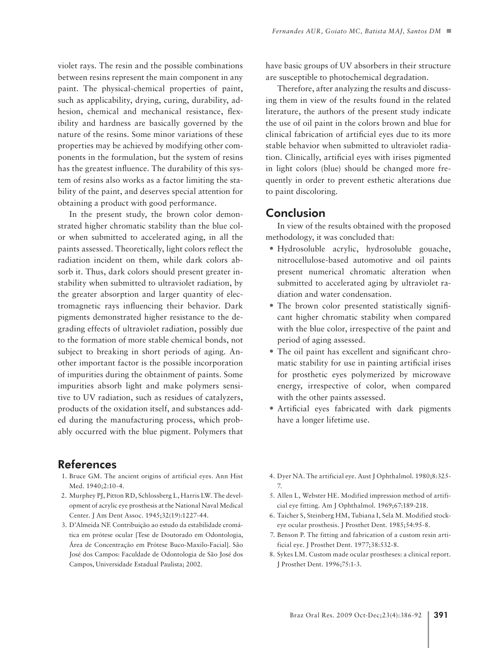violet rays. The resin and the possible combinations between resins represent the main component in any paint. The physical-chemical properties of paint, such as applicability, drying, curing, durability, adhesion, chemical and mechanical resistance, flexibility and hardness are basically governed by the nature of the resins. Some minor variations of these properties may be achieved by modifying other components in the formulation, but the system of resins has the greatest influence. The durability of this system of resins also works as a factor limiting the stability of the paint, and deserves special attention for obtaining a product with good performance.

In the present study, the brown color demonstrated higher chromatic stability than the blue color when submitted to accelerated aging, in all the paints assessed. Theoretically, light colors reflect the radiation incident on them, while dark colors absorb it. Thus, dark colors should present greater instability when submitted to ultraviolet radiation, by the greater absorption and larger quantity of electromagnetic rays influencing their behavior. Dark pigments demonstrated higher resistance to the degrading effects of ultraviolet radiation, possibly due to the formation of more stable chemical bonds, not subject to breaking in short periods of aging. Another important factor is the possible incorporation of impurities during the obtainment of paints. Some impurities absorb light and make polymers sensitive to UV radiation, such as residues of catalyzers, products of the oxidation itself, and substances added during the manufacturing process, which probably occurred with the blue pigment. Polymers that

### References

- 1. Bruce GM. The ancient origins of artificial eyes. Ann Hist Med. 1940;2:10-4.
- 2. Murphey PJ, Pitton RD, Schlossberg L, Harris LW. The development of acrylic eye prosthesis at the National Naval Medical Center. J Am Dent Assoc. 1945;32(19):1227-44.
- 3. D'Almeida NF. Contribuição ao estudo da estabilidade cromática em prótese ocular [Tese de Doutorado em Odontologia, Área de Concentração em Prótese Buco-Maxilo-Facial]. São José dos Campos: Faculdade de Odontologia de São José dos Campos, Universidade Estadual Paulista; 2002.

have basic groups of UV absorbers in their structure are susceptible to photochemical degradation.

Therefore, after analyzing the results and discussing them in view of the results found in the related literature, the authors of the present study indicate the use of oil paint in the colors brown and blue for clinical fabrication of artificial eyes due to its more stable behavior when submitted to ultraviolet radiation. Clinically, artificial eyes with irises pigmented in light colors (blue) should be changed more frequently in order to prevent esthetic alterations due to paint discoloring.

#### Conclusion

In view of the results obtained with the proposed methodology, it was concluded that:

- Hydrosoluble acrylic, hydrosoluble gouache, nitrocellulose-based automotive and oil paints present numerical chromatic alteration when submitted to accelerated aging by ultraviolet radiation and water condensation.
- The brown color presented statistically significant higher chromatic stability when compared with the blue color, irrespective of the paint and period of aging assessed.
- The oil paint has excellent and significant chro-• matic stability for use in painting artificial irises for prosthetic eyes polymerized by microwave energy, irrespective of color, when compared with the other paints assessed.
- Artificial eyes fabricated with dark pigments have a longer lifetime use.
- 4. Dyer NA. The artificial eye. Aust J Ophthalmol. 1980;8:325- 7.
- 5. Allen L, Webster HE. Modified impression method of artificial eye fitting. Am J Ophthalmol. 1969;67:189-218.
- 6. Taicher S, Steinberg HM, Tubiana I, Sela M. Modified stockeye ocular prosthesis. J Prosthet Dent. 1985;54:95-8.
- 7. Benson P. The fitting and fabrication of a custom resin artificial eye. J Prosthet Dent. 1977;38:532-8.
- 8. Sykes LM. Custom made ocular prostheses: a clinical report. J Prosthet Dent. 1996;75:1-3.